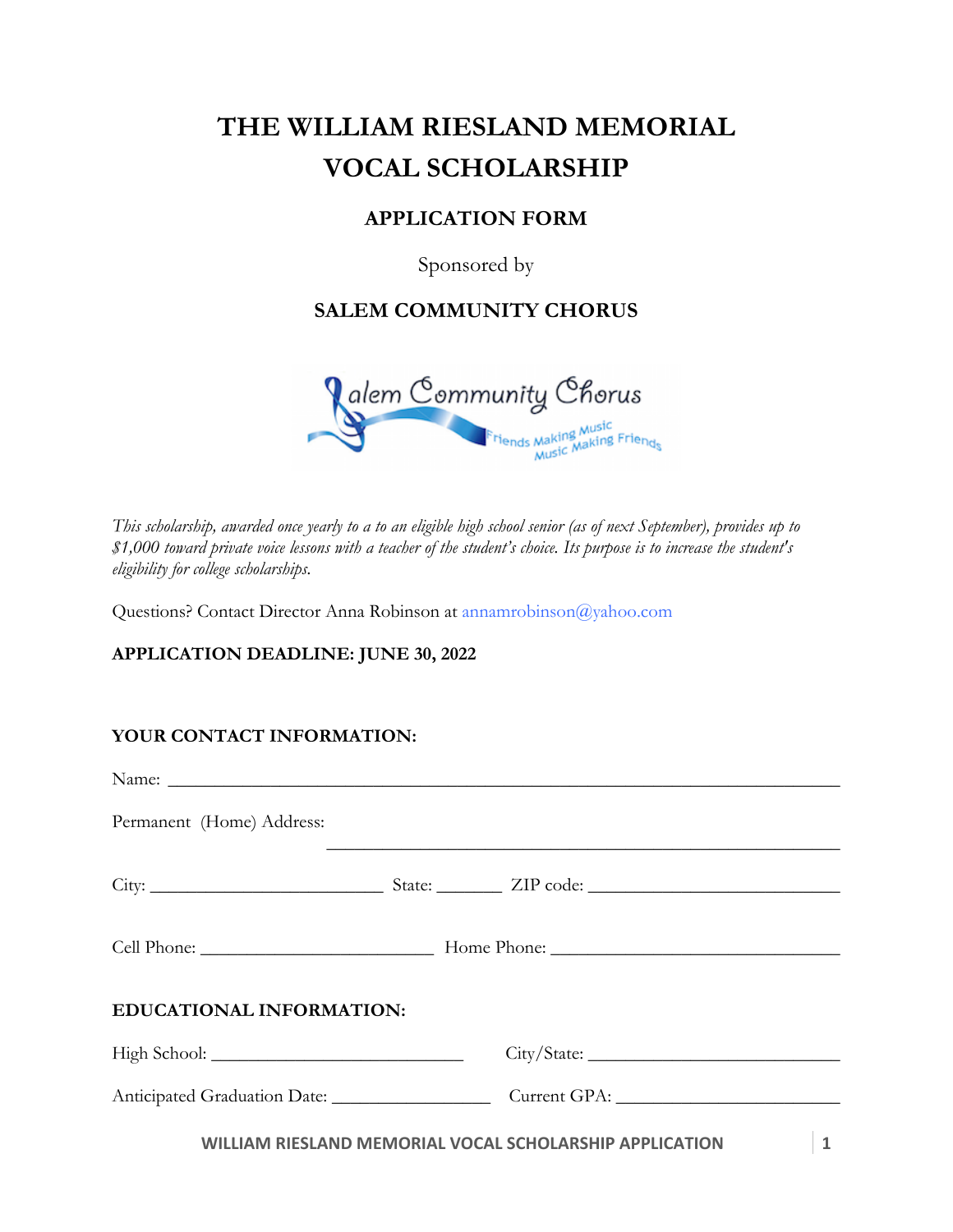# **THE WILLIAM RIESLAND MEMORIAL VOCAL SCHOLARSHIP**

## **APPLICATION FORM**

Sponsored by

## **SALEM COMMUNITY CHORUS**



*This scholarship, awarded once yearly to a to an eligible high school senior (as of next September), provides up to \$1,000 toward private voice lessons with a teacher of the student's choice. Its purpose is to increase the student's eligibility for college scholarships.* 

Questions? Contact Director Anna Robinson at annamrobinson@yahoo.com

### **APPLICATION DEADLINE: JUNE 30, 2022**

### **YOUR CONTACT INFORMATION:**

| Name: Name: Name: Name: Name: Name: Name: Name: Name: Name: Name: Name: Name: Name: Name: Name: Name: Name: Name: Name: Name: Name: Name: Name: Name: Name: Name: Name: Name: Name: Name: Name: Name: Name: Name: Name: Name: |  |                                                         |   |
|-------------------------------------------------------------------------------------------------------------------------------------------------------------------------------------------------------------------------------|--|---------------------------------------------------------|---|
| Permanent (Home) Address:                                                                                                                                                                                                     |  |                                                         |   |
|                                                                                                                                                                                                                               |  |                                                         |   |
|                                                                                                                                                                                                                               |  |                                                         |   |
| EDUCATIONAL INFORMATION:                                                                                                                                                                                                      |  |                                                         |   |
|                                                                                                                                                                                                                               |  | City / State:                                           |   |
|                                                                                                                                                                                                                               |  | Anticipated Graduation Date: Current GPA:               |   |
|                                                                                                                                                                                                                               |  | WILLIAM RIESLAND MEMORIAL VOCAL SCHOLARSHIP APPLICATION | 1 |